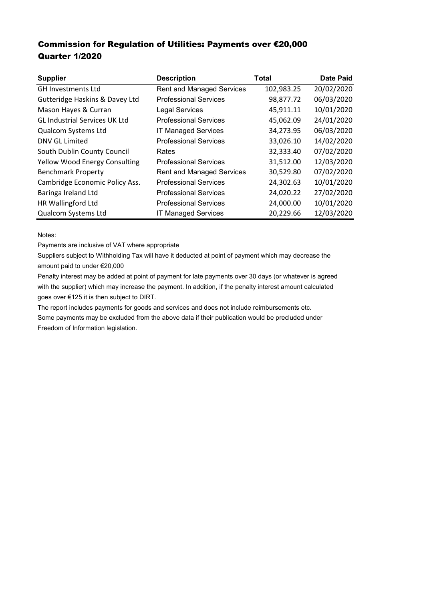## Commission for Regulation of Utilities: Payments over €20,000 Quarter 1/2020

| <b>Supplier</b>                      | <b>Description</b>               | Total      | <b>Date Paid</b> |
|--------------------------------------|----------------------------------|------------|------------------|
| <b>GH Investments Ltd</b>            | <b>Rent and Managed Services</b> | 102,983.25 | 20/02/2020       |
| Gutteridge Haskins & Davey Ltd       | <b>Professional Services</b>     | 98,877.72  | 06/03/2020       |
| Mason Hayes & Curran                 | <b>Legal Services</b>            | 45,911.11  | 10/01/2020       |
| <b>GL Industrial Services UK Ltd</b> | <b>Professional Services</b>     | 45,062.09  | 24/01/2020       |
| Qualcom Systems Ltd                  | <b>IT Managed Services</b>       | 34,273.95  | 06/03/2020       |
| DNV GL Limited                       | <b>Professional Services</b>     | 33,026.10  | 14/02/2020       |
| South Dublin County Council          | Rates                            | 32,333.40  | 07/02/2020       |
| <b>Yellow Wood Energy Consulting</b> | <b>Professional Services</b>     | 31,512.00  | 12/03/2020       |
| <b>Benchmark Property</b>            | <b>Rent and Managed Services</b> | 30,529.80  | 07/02/2020       |
| Cambridge Economic Policy Ass.       | <b>Professional Services</b>     | 24,302.63  | 10/01/2020       |
| Baringa Ireland Ltd                  | <b>Professional Services</b>     | 24,020.22  | 27/02/2020       |
| <b>HR Wallingford Ltd</b>            | <b>Professional Services</b>     | 24,000.00  | 10/01/2020       |
| Qualcom Systems Ltd                  | <b>IT Managed Services</b>       | 20,229.66  | 12/03/2020       |

Notes:

Payments are inclusive of VAT where appropriate

Suppliers subject to Withholding Tax will have it deducted at point of payment which may decrease the amount paid to under €20,000

Penalty interest may be added at point of payment for late payments over 30 days (or whatever is agreed with the supplier) which may increase the payment. In addition, if the penalty interest amount calculated goes over €125 it is then subject to DIRT.

The report includes payments for goods and services and does not include reimbursements etc.

Some payments may be excluded from the above data if their publication would be precluded under Freedom of Information legislation.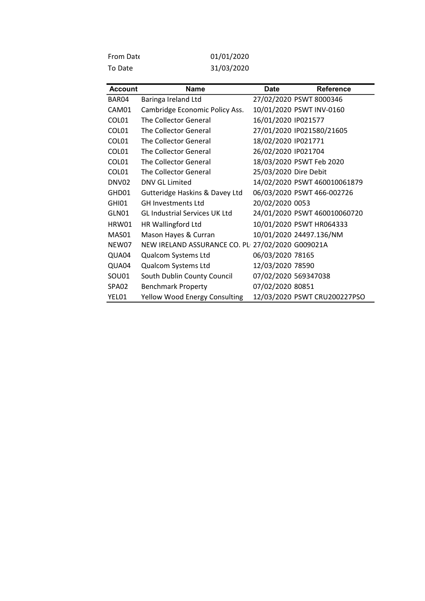| <b>From Date</b> | 01/01/2020 |
|------------------|------------|
| To Date          | 31/03/2020 |

| <b>Account</b> | <b>Name</b>                                      | <b>Date</b>           | <b>Reference</b>             |
|----------------|--------------------------------------------------|-----------------------|------------------------------|
| BAR04          | Baringa Ireland Ltd                              |                       | 27/02/2020 PSWT 8000346      |
| CAM01          | Cambridge Economic Policy Ass.                   |                       | 10/01/2020 PSWT INV-0160     |
| COL01          | The Collector General                            | 16/01/2020 IP021577   |                              |
| COL01          | The Collector General                            |                       | 27/01/2020 IP021580/21605    |
| COL01          | The Collector General                            | 18/02/2020 IP021771   |                              |
| COL01          | The Collector General                            | 26/02/2020 IP021704   |                              |
| COL01          | The Collector General                            |                       | 18/03/2020 PSWT Feb 2020     |
| COL01          | The Collector General                            | 25/03/2020 Dire Debit |                              |
| DNV02          | DNV GL Limited                                   |                       | 14/02/2020 PSWT 460010061879 |
| GHD01          | Gutteridge Haskins & Davey Ltd                   |                       | 06/03/2020 PSWT 466-002726   |
| GHI01          | <b>GH Investments Ltd</b>                        | 20/02/2020 0053       |                              |
| GLN01          | <b>GL Industrial Services UK Ltd</b>             |                       | 24/01/2020 PSWT 460010060720 |
| HRW01          | HR Wallingford Ltd                               |                       | 10/01/2020 PSWT HR064333     |
| MAS01          | Mason Hayes & Curran                             |                       | 10/01/2020 24497.136/NM      |
| NEW07          | NEW IRELAND ASSURANCE CO. PL 27/02/2020 G009021A |                       |                              |
| QUA04          | Qualcom Systems Ltd                              | 06/03/2020 78165      |                              |
| QUA04          | Qualcom Systems Ltd                              | 12/03/2020 78590      |                              |
| SOU01          | South Dublin County Council                      | 07/02/2020 569347038  |                              |
| SPA02          | <b>Benchmark Property</b>                        | 07/02/2020 80851      |                              |
| YEL01          | <b>Yellow Wood Energy Consulting</b>             |                       | 12/03/2020 PSWT CRU200227PSO |